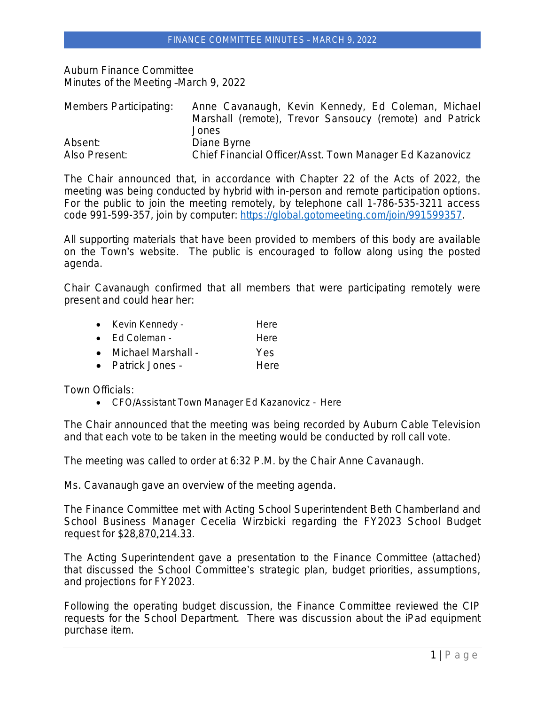Auburn Finance Committee Minutes of the Meeting –March 9, 2022

| Members Participating: | Anne Cavanaugh, Kevin Kennedy, Ed Coleman, Michael       |
|------------------------|----------------------------------------------------------|
|                        | Marshall (remote), Trevor Sansoucy (remote) and Patrick  |
|                        | Jones                                                    |
| Absent:                | Diane Byrne                                              |
| Also Present:          | Chief Financial Officer/Asst. Town Manager Ed Kazanovicz |

The Chair announced that, in accordance with Chapter 22 of the Acts of 2022, the meeting was being conducted by hybrid with in-person and remote participation options. For the public to join the meeting remotely, by telephone call 1-786-535-3211 access code 991-599-357, join by computer:<https://global.gotomeeting.com/join/991599357>.

All supporting materials that have been provided to members of this body are available on the Town's website. The public is encouraged to follow along using the posted agenda.

Chair Cavanaugh confirmed that all members that were participating remotely were present and could hear her:

- Kevin Kennedy **Here**
- Ed Coleman The Here
- Michael Marshall Yes
- Patrick Jones Here

Town Officials:

CFO/Assistant Town Manager Ed Kazanovicz - Here

The Chair announced that the meeting was being recorded by Auburn Cable Television and that each vote to be taken in the meeting would be conducted by roll call vote.

The meeting was called to order at 6:32 P.M. by the Chair Anne Cavanaugh.

Ms. Cavanaugh gave an overview of the meeting agenda.

The Finance Committee met with Acting School Superintendent Beth Chamberland and School Business Manager Cecelia Wirzbicki regarding the FY2023 School Budget request for \$28,870,214.33.

The Acting Superintendent gave a presentation to the Finance Committee (attached) that discussed the School Committee's strategic plan, budget priorities, assumptions, and projections for FY2023.

Following the operating budget discussion, the Finance Committee reviewed the CIP requests for the School Department. There was discussion about the iPad equipment purchase item.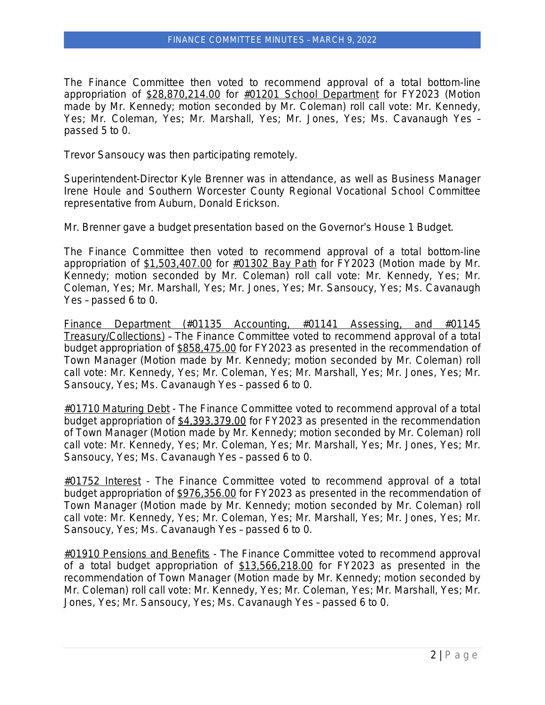The Finance Committee then voted to recommend approval of a total bottom-line appropriation of \$28,870,214.00 for #01201 School Department for FY2023 (Motion made by Mr. Kennedy; motion seconded by Mr. Coleman) roll call vote: Mr. Kennedy, Yes; Mr. Coleman, Yes; Mr. Marshall, Yes; Mr. Jones, Yes; Ms. Cavanaugh Yes – passed 5 to 0.

Trevor Sansoucy was then participating remotely.

Superintendent-Director Kyle Brenner was in attendance, as well as Business Manager Irene Houle and Southern Worcester County Regional Vocational School Committee representative from Auburn, Donald Erickson.

Mr. Brenner gave a budget presentation based on the Governor's House 1 Budget.

The Finance Committee then voted to recommend approval of a total bottom-line appropriation of \$1,503,407.00 for #01302 Bay Path for FY2023 (Motion made by Mr. Kennedy; motion seconded by Mr. Coleman) roll call vote: Mr. Kennedy, Yes; Mr. Coleman, Yes; Mr. Marshall, Yes; Mr. Jones, Yes; Mr. Sansoucy, Yes; Ms. Cavanaugh Yes – passed 6 to 0.

Finance Department (#01135 Accounting, #01141 Assessing, and #01145 Treasury/Collections) – The Finance Committee voted to recommend approval of a total budget appropriation of \$858,475.00 for FY2023 as presented in the recommendation of Town Manager (Motion made by Mr. Kennedy; motion seconded by Mr. Coleman) roll call vote: Mr. Kennedy, Yes; Mr. Coleman, Yes; Mr. Marshall, Yes; Mr. Jones, Yes; Mr. Sansoucy, Yes; Ms. Cavanaugh Yes – passed 6 to 0.

#01710 Maturing Debt - The Finance Committee voted to recommend approval of a total budget appropriation of \$4,393,379.00 for FY2023 as presented in the recommendation of Town Manager (Motion made by Mr. Kennedy; motion seconded by Mr. Coleman) roll call vote: Mr. Kennedy, Yes; Mr. Coleman, Yes; Mr. Marshall, Yes; Mr. Jones, Yes; Mr. Sansoucy, Yes; Ms. Cavanaugh Yes – passed 6 to 0.

#01752 Interest - The Finance Committee voted to recommend approval of a total budget appropriation of \$976,356.00 for FY2023 as presented in the recommendation of Town Manager (Motion made by Mr. Kennedy; motion seconded by Mr. Coleman) roll call vote: Mr. Kennedy, Yes; Mr. Coleman, Yes; Mr. Marshall, Yes; Mr. Jones, Yes; Mr. Sansoucy, Yes; Ms. Cavanaugh Yes – passed 6 to 0.

#01910 Pensions and Benefits - The Finance Committee voted to recommend approval of a total budget appropriation of \$13,566,218.00 for FY2023 as presented in the recommendation of Town Manager (Motion made by Mr. Kennedy; motion seconded by Mr. Coleman) roll call vote: Mr. Kennedy, Yes; Mr. Coleman, Yes; Mr. Marshall, Yes; Mr. Jones, Yes; Mr. Sansoucy, Yes; Ms. Cavanaugh Yes – passed 6 to 0.